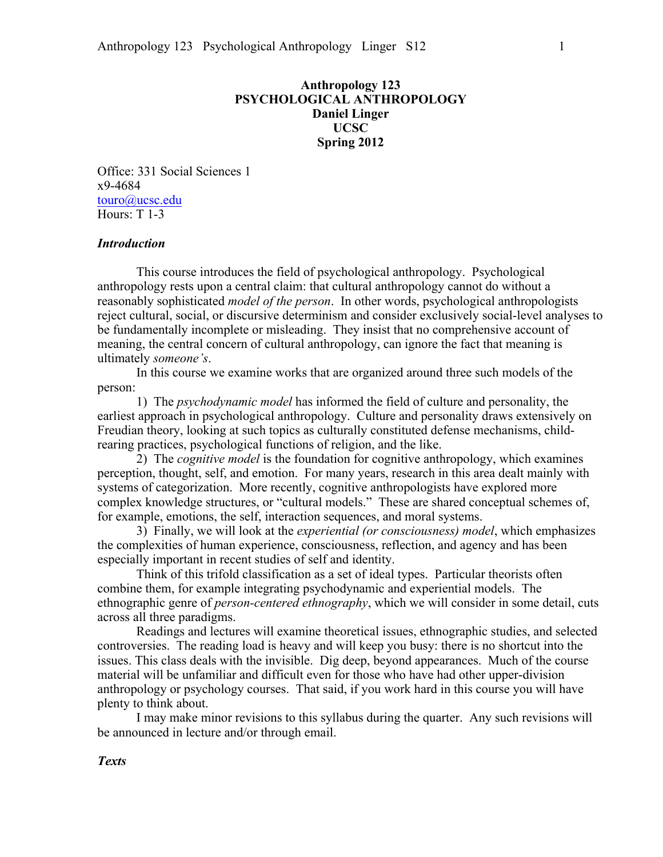# **Anthropology 123 PSYCHOLOGICAL ANTHROPOLOGY Daniel Linger UCSC Spring 2012**

Office: 331 Social Sciences 1 x9-4684 touro@ucsc.edu Hours: T 1-3

### *Introduction*

This course introduces the field of psychological anthropology. Psychological anthropology rests upon a central claim: that cultural anthropology cannot do without a reasonably sophisticated *model of the person*. In other words, psychological anthropologists reject cultural, social, or discursive determinism and consider exclusively social-level analyses to be fundamentally incomplete or misleading. They insist that no comprehensive account of meaning, the central concern of cultural anthropology, can ignore the fact that meaning is ultimately *someone's*.

In this course we examine works that are organized around three such models of the person:

1) The *psychodynamic model* has informed the field of culture and personality, the earliest approach in psychological anthropology. Culture and personality draws extensively on Freudian theory, looking at such topics as culturally constituted defense mechanisms, childrearing practices, psychological functions of religion, and the like.

2) The *cognitive model* is the foundation for cognitive anthropology, which examines perception, thought, self, and emotion. For many years, research in this area dealt mainly with systems of categorization. More recently, cognitive anthropologists have explored more complex knowledge structures, or "cultural models." These are shared conceptual schemes of, for example, emotions, the self, interaction sequences, and moral systems.

3) Finally, we will look at the *experiential (or consciousness) model*, which emphasizes the complexities of human experience, consciousness, reflection, and agency and has been especially important in recent studies of self and identity.

Think of this trifold classification as a set of ideal types. Particular theorists often combine them, for example integrating psychodynamic and experiential models. The ethnographic genre of *person-centered ethnography*, which we will consider in some detail, cuts across all three paradigms.

Readings and lectures will examine theoretical issues, ethnographic studies, and selected controversies. The reading load is heavy and will keep you busy: there is no shortcut into the issues. This class deals with the invisible. Dig deep, beyond appearances. Much of the course material will be unfamiliar and difficult even for those who have had other upper-division anthropology or psychology courses. That said, if you work hard in this course you will have plenty to think about.

I may make minor revisions to this syllabus during the quarter. Any such revisions will be announced in lecture and/or through email.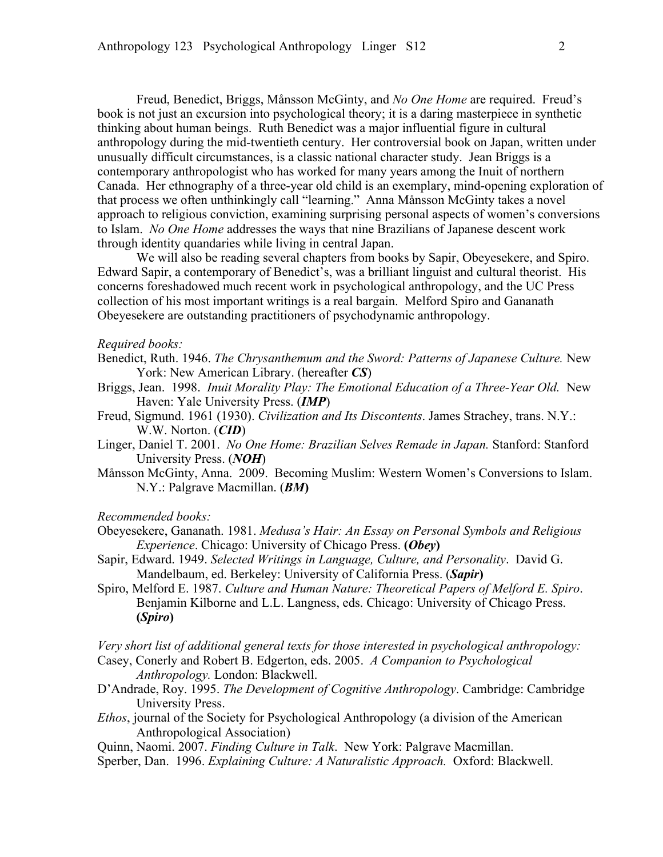Freud, Benedict, Briggs, Månsson McGinty, and *No One Home* are required. Freud's book is not just an excursion into psychological theory; it is a daring masterpiece in synthetic thinking about human beings. Ruth Benedict was a major influential figure in cultural anthropology during the mid-twentieth century. Her controversial book on Japan, written under unusually difficult circumstances, is a classic national character study. Jean Briggs is a contemporary anthropologist who has worked for many years among the Inuit of northern Canada. Her ethnography of a three-year old child is an exemplary, mind-opening exploration of that process we often unthinkingly call "learning." Anna Månsson McGinty takes a novel approach to religious conviction, examining surprising personal aspects of women's conversions to Islam. *No One Home* addresses the ways that nine Brazilians of Japanese descent work through identity quandaries while living in central Japan.

We will also be reading several chapters from books by Sapir, Obeyesekere, and Spiro. Edward Sapir, a contemporary of Benedict's, was a brilliant linguist and cultural theorist. His concerns foreshadowed much recent work in psychological anthropology, and the UC Press collection of his most important writings is a real bargain. Melford Spiro and Gananath Obeyesekere are outstanding practitioners of psychodynamic anthropology.

#### *Required books:*

- Benedict, Ruth. 1946. *The Chrysanthemum and the Sword: Patterns of Japanese Culture.* New York: New American Library. (hereafter *CS*)
- Briggs, Jean. 1998. *Inuit Morality Play: The Emotional Education of a Three-Year Old.* New Haven: Yale University Press. (*IMP*)
- Freud, Sigmund. 1961 (1930). *Civilization and Its Discontents*. James Strachey, trans. N.Y.: W.W. Norton. (*CID*)
- Linger, Daniel T. 2001. *No One Home: Brazilian Selves Remade in Japan.* Stanford: Stanford University Press. (*NOH*)
- Månsson McGinty, Anna. 2009. Becoming Muslim: Western Women's Conversions to Islam. N.Y.: Palgrave Macmillan. (*BM***)**

#### *Recommended books:*

- Obeyesekere, Gananath. 1981. *Medusa's Hair: An Essay on Personal Symbols and Religious Experience*. Chicago: University of Chicago Press. **(***Obey***)**
- Sapir, Edward. 1949. *Selected Writings in Language, Culture, and Personality*. David G. Mandelbaum, ed. Berkeley: University of California Press. (*Sapir***)**
- Spiro, Melford E. 1987. *Culture and Human Nature: Theoretical Papers of Melford E. Spiro*. Benjamin Kilborne and L.L. Langness, eds. Chicago: University of Chicago Press. **(***Spiro***)**

*Very short list of additional general texts for those interested in psychological anthropology:* Casey, Conerly and Robert B. Edgerton, eds. 2005. *A Companion to Psychological* 

- *Anthropology.* London: Blackwell.
- D'Andrade, Roy. 1995. *The Development of Cognitive Anthropology*. Cambridge: Cambridge University Press.
- *Ethos*, journal of the Society for Psychological Anthropology (a division of the American Anthropological Association)
- Quinn, Naomi. 2007. *Finding Culture in Talk*. New York: Palgrave Macmillan.
- Sperber, Dan. 1996. *Explaining Culture: A Naturalistic Approach.* Oxford: Blackwell.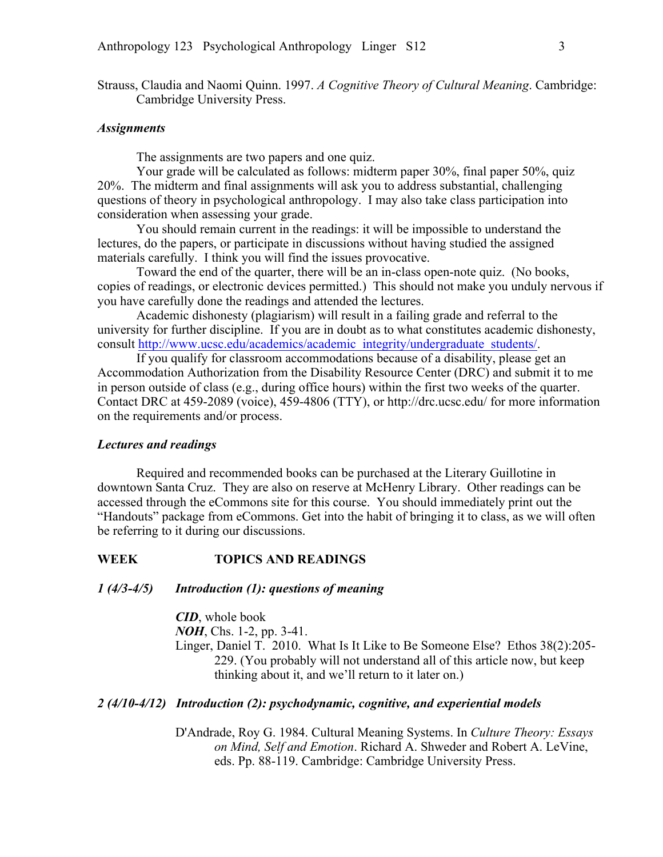Strauss, Claudia and Naomi Quinn. 1997. *A Cognitive Theory of Cultural Meaning*. Cambridge: Cambridge University Press.

#### *Assignments*

The assignments are two papers and one quiz.

Your grade will be calculated as follows: midterm paper 30%, final paper 50%, quiz 20%. The midterm and final assignments will ask you to address substantial, challenging questions of theory in psychological anthropology. I may also take class participation into consideration when assessing your grade.

You should remain current in the readings: it will be impossible to understand the lectures, do the papers, or participate in discussions without having studied the assigned materials carefully. I think you will find the issues provocative.

Toward the end of the quarter, there will be an in-class open-note quiz. (No books, copies of readings, or electronic devices permitted.) This should not make you unduly nervous if you have carefully done the readings and attended the lectures.

Academic dishonesty (plagiarism) will result in a failing grade and referral to the university for further discipline. If you are in doubt as to what constitutes academic dishonesty, consult http://www.ucsc.edu/academics/academic\_integrity/undergraduate\_students/.

If you qualify for classroom accommodations because of a disability, please get an Accommodation Authorization from the Disability Resource Center (DRC) and submit it to me in person outside of class (e.g., during office hours) within the first two weeks of the quarter. Contact DRC at 459-2089 (voice), 459-4806 (TTY), or http://drc.ucsc.edu/ for more information on the requirements and/or process.

### *Lectures and readings*

Required and recommended books can be purchased at the Literary Guillotine in downtown Santa Cruz. They are also on reserve at McHenry Library. Other readings can be accessed through the eCommons site for this course. You should immediately print out the "Handouts" package from eCommons. Get into the habit of bringing it to class, as we will often be referring to it during our discussions.

# **WEEK TOPICS AND READINGS**

## *1 (4/3-4/5) Introduction (1): questions of meaning*

*CID*, whole book *NOH*, Chs. 1-2, pp. 3-41. Linger, Daniel T. 2010. What Is It Like to Be Someone Else? Ethos 38(2):205- 229. (You probably will not understand all of this article now, but keep thinking about it, and we'll return to it later on.)

## *2 (4/10-4/12) Introduction (2): psychodynamic, cognitive, and experiential models*

D'Andrade, Roy G. 1984. Cultural Meaning Systems. In *Culture Theory: Essays on Mind, Self and Emotion*. Richard A. Shweder and Robert A. LeVine, eds. Pp. 88-119. Cambridge: Cambridge University Press.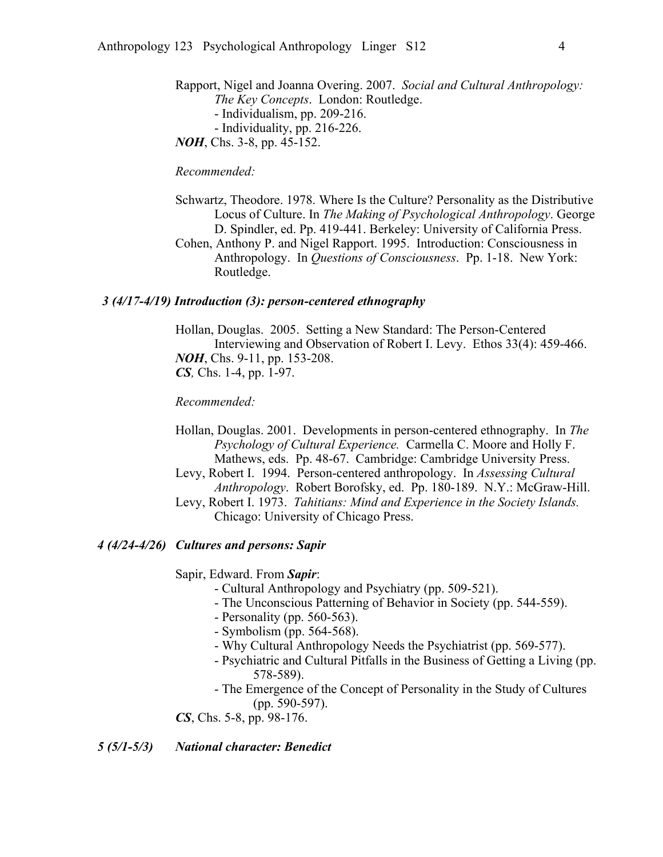Rapport, Nigel and Joanna Overing. 2007. *Social and Cultural Anthropology: The Key Concepts*. London: Routledge. - Individualism, pp. 209-216. - Individuality, pp. 216-226. *NOH*, Chs. 3-8, pp. 45-152.

*Recommended:*

- Schwartz, Theodore. 1978. Where Is the Culture? Personality as the Distributive Locus of Culture. In *The Making of Psychological Anthropology*. George D. Spindler, ed. Pp. 419-441. Berkeley: University of California Press. Cohen, Anthony P. and Nigel Rapport. 1995. Introduction: Consciousness in
- Anthropology. In *Questions of Consciousness*. Pp. 1-18. New York: Routledge.

### *3 (4/17-4/19) Introduction (3): person-centered ethnography*

Hollan, Douglas. 2005. Setting a New Standard: The Person-Centered Interviewing and Observation of Robert I. Levy. Ethos 33(4): 459-466. *NOH*, Chs. 9-11, pp. 153-208. *CS,* Chs. 1-4, pp. 1-97.

*Recommended:*

Hollan, Douglas. 2001. Developments in person-centered ethnography. In *The Psychology of Cultural Experience.* Carmella C. Moore and Holly F. Mathews, eds. Pp. 48-67. Cambridge: Cambridge University Press. Levy, Robert I. 1994. Person-centered anthropology. In *Assessing Cultural Anthropology*. Robert Borofsky, ed. Pp. 180-189. N.Y.: McGraw-Hill. Levy, Robert I. 1973. *Tahitians: Mind and Experience in the Society Islands.*

Chicago: University of Chicago Press.

## *4 (4/24-4/26) Cultures and persons: Sapir*

Sapir, Edward. From *Sapir*:

- Cultural Anthropology and Psychiatry (pp. 509-521).
- The Unconscious Patterning of Behavior in Society (pp. 544-559).
- Personality (pp. 560-563).
- Symbolism (pp. 564-568).
- Why Cultural Anthropology Needs the Psychiatrist (pp. 569-577).
- Psychiatric and Cultural Pitfalls in the Business of Getting a Living (pp. 578-589).
- The Emergence of the Concept of Personality in the Study of Cultures (pp. 590-597).

*CS*, Chs. 5-8, pp. 98-176.

*5 (5/1-5/3) National character: Benedict*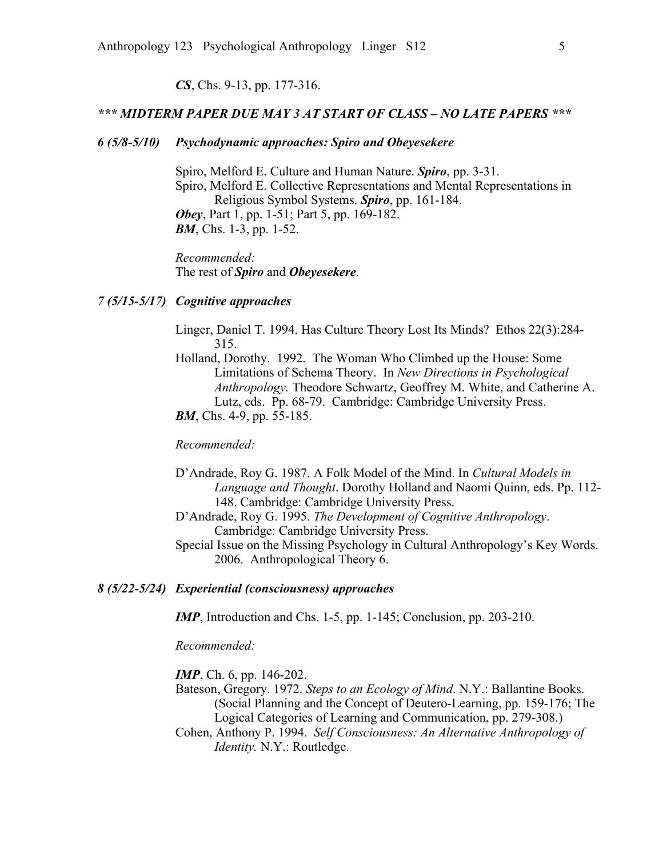#### *CS*, Chs. 9-13, pp. 177-316.

## *\*\*\* MIDTERM PAPER DUE MAY 3 AT START OF CLASS – NO LATE PAPERS \*\*\**

## *6 (5/8-5/10) Psychodynamic approaches: Spiro and Obeyesekere*

Spiro, Melford E. Culture and Human Nature. *Spiro*, pp. 3-31. Spiro, Melford E. Collective Representations and Mental Representations in Religious Symbol Systems. *Spiro*, pp. 161-184. *Obey*, Part 1, pp. 1-51; Part 5, pp. 169-182. *BM*, Chs. 1-3, pp. 1-52.

*Recommended:* The rest of *Spiro* and *Obeyesekere*.

### *7 (5/15-5/17) Cognitive approaches*

Linger, Daniel T. 1994. Has Culture Theory Lost Its Minds? Ethos 22(3):284- 315.

Holland, Dorothy. 1992. The Woman Who Climbed up the House: Some Limitations of Schema Theory. In *New Directions in Psychological Anthropology.* Theodore Schwartz, Geoffrey M. White, and Catherine A. Lutz, eds. Pp. 68-79. Cambridge: Cambridge University Press. *BM*, Chs. 4-9, pp. 55-185.

*Recommended:*

- D'Andrade, Roy G. 1987. A Folk Model of the Mind. In *Cultural Models in Language and Thought*. Dorothy Holland and Naomi Quinn, eds. Pp. 112- 148. Cambridge: Cambridge University Press.
- D'Andrade, Roy G. 1995. *The Development of Cognitive Anthropology*. Cambridge: Cambridge University Press.
- Special Issue on the Missing Psychology in Cultural Anthropology's Key Words. 2006. Anthropological Theory 6.

### *8 (5/22-5/24) Experiential (consciousness) approaches*

*IMP*, Introduction and Chs. 1-5, pp. 1-145; Conclusion, pp. 203-210.

*Recommended:*

*IMP*, Ch. 6, pp. 146-202.

- Bateson, Gregory. 1972. *Steps to an Ecology of Mind*. N.Y.: Ballantine Books. (Social Planning and the Concept of Deutero-Learning, pp. 159-176; The Logical Categories of Learning and Communication, pp. 279-308.)
- Cohen, Anthony P. 1994. *Self Consciousness: An Alternative Anthropology of Identity.* N.Y.: Routledge.